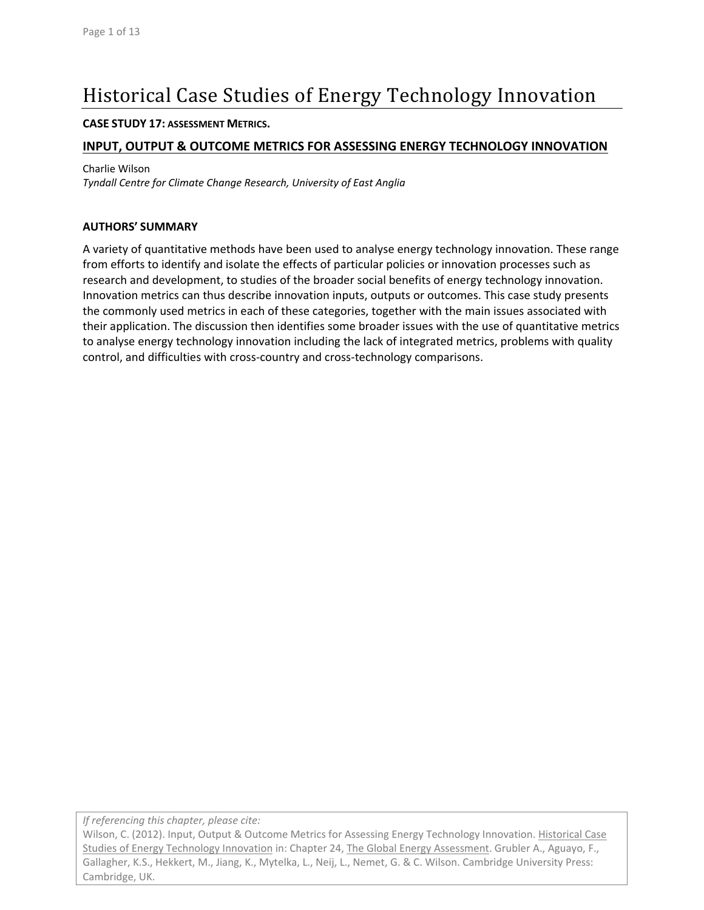# Historical Case Studies of Energy Technology Innovation

#### **CASE STUDY 17: ASSESSMENT METRICS.**

## **INPUT, OUTPUT & OUTCOME METRICS FOR ASSESSING ENERGY TECHNOLOGY INNOVATION**

Charlie Wilson

*Tyndall Centre for Climate Change Research, University of East Anglia*

#### **AUTHORS' SUMMARY**

A variety of quantitative methods have been used to analyse energy technology innovation. These range from efforts to identify and isolate the effects of particular policies or innovation processes such as research and development, to studies of the broader social benefits of energy technology innovation. Innovation metrics can thus describe innovation inputs, outputs or outcomes. This case study presents the commonly used metrics in each of these categories, together with the main issues associated with their application. The discussion then identifies some broader issues with the use of quantitative metrics to analyse energy technology innovation including the lack of integrated metrics, problems with quality control, and difficulties with cross‐country and cross‐technology comparisons.

*If referencing this chapter, please cite:*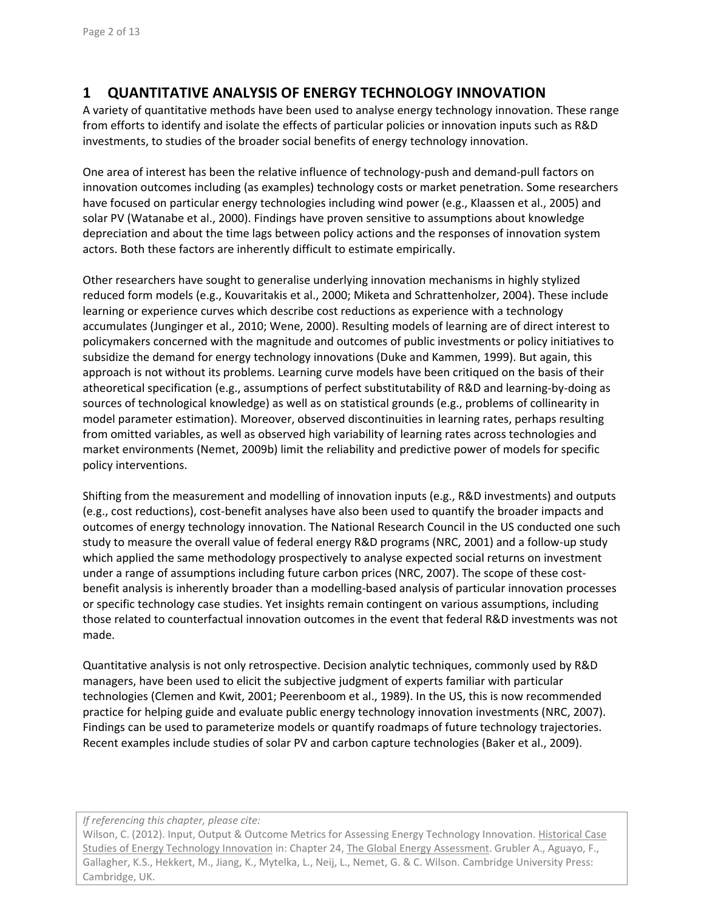# **1 QUANTITATIVE ANALYSIS OF ENERGY TECHNOLOGY INNOVATION**

A variety of quantitative methods have been used to analyse energy technology innovation. These range from efforts to identify and isolate the effects of particular policies or innovation inputs such as R&D investments, to studies of the broader social benefits of energy technology innovation.

One area of interest has been the relative influence of technology‐push and demand‐pull factors on innovation outcomes including (as examples) technology costs or market penetration. Some researchers have focused on particular energy technologies including wind power (e.g., Klaassen et al., 2005) and solar PV (Watanabe et al., 2000). Findings have proven sensitive to assumptions about knowledge depreciation and about the time lags between policy actions and the responses of innovation system actors. Both these factors are inherently difficult to estimate empirically.

Other researchers have sought to generalise underlying innovation mechanisms in highly stylized reduced form models (e.g., Kouvaritakis et al., 2000; Miketa and Schrattenholzer, 2004). These include learning or experience curves which describe cost reductions as experience with a technology accumulates (Junginger et al., 2010; Wene, 2000). Resulting models of learning are of direct interest to policymakers concerned with the magnitude and outcomes of public investments or policy initiatives to subsidize the demand for energy technology innovations (Duke and Kammen, 1999). But again, this approach is not without its problems. Learning curve models have been critiqued on the basis of their atheoretical specification (e.g., assumptions of perfect substitutability of R&D and learning‐by‐doing as sources of technological knowledge) as well as on statistical grounds (e.g., problems of collinearity in model parameter estimation). Moreover, observed discontinuities in learning rates, perhaps resulting from omitted variables, as well as observed high variability of learning rates across technologies and market environments (Nemet, 2009b) limit the reliability and predictive power of models for specific policy interventions.

Shifting from the measurement and modelling of innovation inputs (e.g., R&D investments) and outputs (e.g., cost reductions), cost‐benefit analyses have also been used to quantify the broader impacts and outcomes of energy technology innovation. The National Research Council in the US conducted one such study to measure the overall value of federal energy R&D programs (NRC, 2001) and a follow‐up study which applied the same methodology prospectively to analyse expected social returns on investment under a range of assumptions including future carbon prices (NRC, 2007). The scope of these costbenefit analysis is inherently broader than a modelling‐based analysis of particular innovation processes or specific technology case studies. Yet insights remain contingent on various assumptions, including those related to counterfactual innovation outcomes in the event that federal R&D investments was not made.

Quantitative analysis is not only retrospective. Decision analytic techniques, commonly used by R&D managers, have been used to elicit the subjective judgment of experts familiar with particular technologies (Clemen and Kwit, 2001; Peerenboom et al., 1989). In the US, this is now recommended practice for helping guide and evaluate public energy technology innovation investments (NRC, 2007). Findings can be used to parameterize models or quantify roadmaps of future technology trajectories. Recent examples include studies of solar PV and carbon capture technologies (Baker et al., 2009).

#### *If referencing this chapter, please cite:*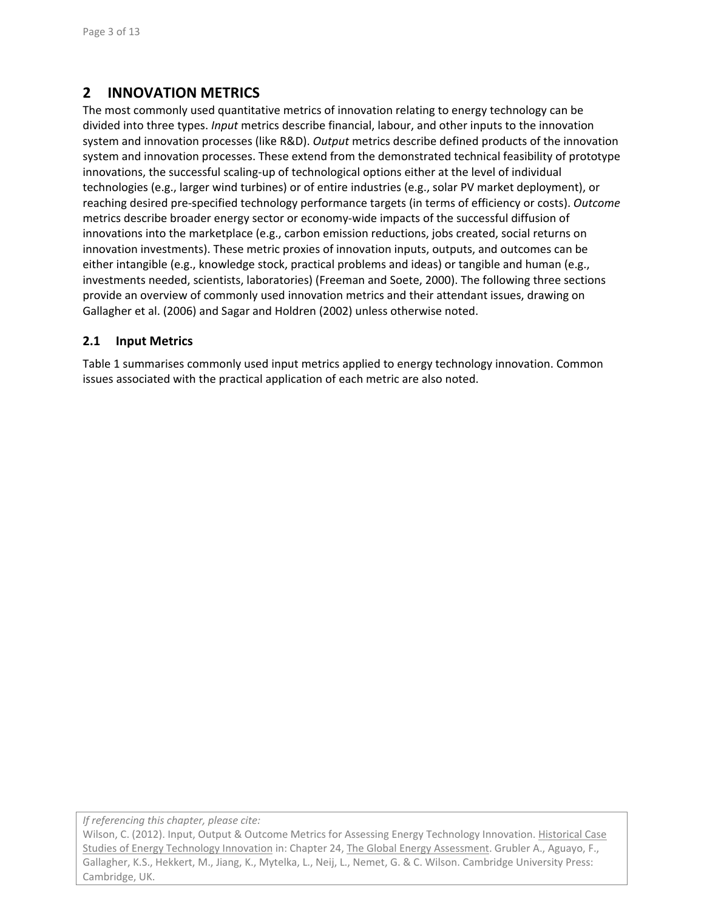# **2 INNOVATION METRICS**

The most commonly used quantitative metrics of innovation relating to energy technology can be divided into three types. *Input* metrics describe financial, labour, and other inputs to the innovation system and innovation processes (like R&D). *Output* metrics describe defined products of the innovation system and innovation processes. These extend from the demonstrated technical feasibility of prototype innovations, the successful scaling‐up of technological options either at the level of individual technologies (e.g., larger wind turbines) or of entire industries (e.g., solar PV market deployment), or reaching desired pre‐specified technology performance targets (in terms of efficiency or costs). *Outcome* metrics describe broader energy sector or economy‐wide impacts of the successful diffusion of innovations into the marketplace (e.g., carbon emission reductions, jobs created, social returns on innovation investments). These metric proxies of innovation inputs, outputs, and outcomes can be either intangible (e.g., knowledge stock, practical problems and ideas) or tangible and human (e.g., investments needed, scientists, laboratories) (Freeman and Soete, 2000). The following three sections provide an overview of commonly used innovation metrics and their attendant issues, drawing on Gallagher et al. (2006) and Sagar and Holdren (2002) unless otherwise noted.

### **2.1 Input Metrics**

Table 1 summarises commonly used input metrics applied to energy technology innovation. Common issues associated with the practical application of each metric are also noted.

*If referencing this chapter, please cite:*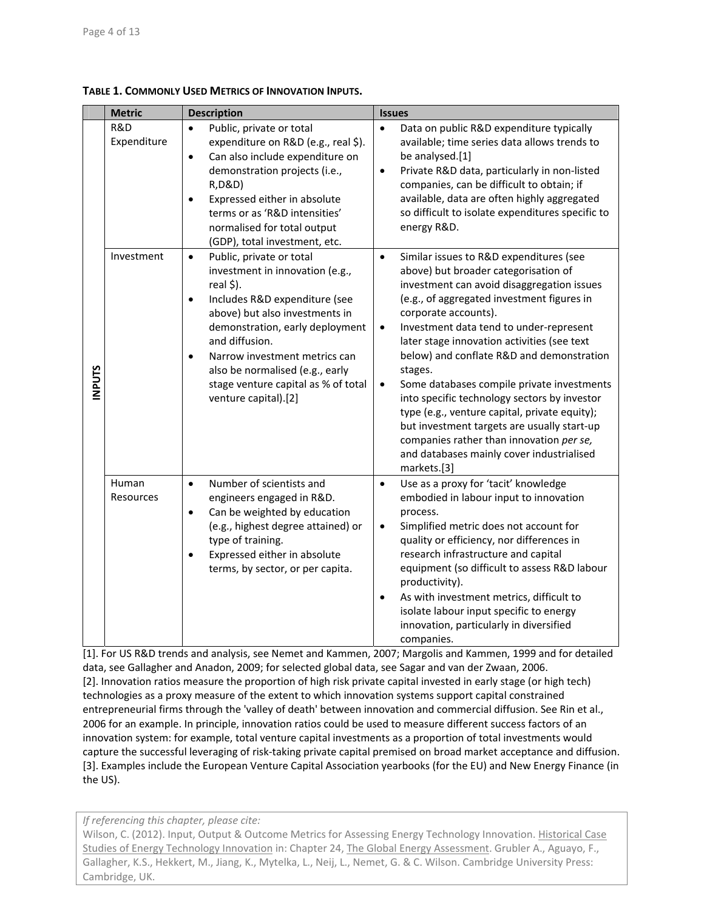|              | <b>Metric</b>      | <b>Description</b>                                                                                                                                                                                                                                                                                                                                                         | <b>Issues</b>                                                                                                                                                                                                                                                                                                                                                                                                                                                                                                                                                                                                                                                                                      |
|--------------|--------------------|----------------------------------------------------------------------------------------------------------------------------------------------------------------------------------------------------------------------------------------------------------------------------------------------------------------------------------------------------------------------------|----------------------------------------------------------------------------------------------------------------------------------------------------------------------------------------------------------------------------------------------------------------------------------------------------------------------------------------------------------------------------------------------------------------------------------------------------------------------------------------------------------------------------------------------------------------------------------------------------------------------------------------------------------------------------------------------------|
| <b>NPUTS</b> | R&D<br>Expenditure | Public, private or total<br>$\bullet$<br>expenditure on R&D (e.g., real \$).<br>Can also include expenditure on<br>$\bullet$<br>demonstration projects (i.e.,<br>R, D&D)<br>Expressed either in absolute<br>$\bullet$<br>terms or as 'R&D intensities'<br>normalised for total output<br>(GDP), total investment, etc.                                                     | Data on public R&D expenditure typically<br>$\bullet$<br>available; time series data allows trends to<br>be analysed.[1]<br>Private R&D data, particularly in non-listed<br>$\bullet$<br>companies, can be difficult to obtain; if<br>available, data are often highly aggregated<br>so difficult to isolate expenditures specific to<br>energy R&D.                                                                                                                                                                                                                                                                                                                                               |
|              | Investment         | Public, private or total<br>$\bullet$<br>investment in innovation (e.g.,<br>real \$).<br>Includes R&D expenditure (see<br>$\bullet$<br>above) but also investments in<br>demonstration, early deployment<br>and diffusion.<br>Narrow investment metrics can<br>$\bullet$<br>also be normalised (e.g., early<br>stage venture capital as % of total<br>venture capital).[2] | Similar issues to R&D expenditures (see<br>$\bullet$<br>above) but broader categorisation of<br>investment can avoid disaggregation issues<br>(e.g., of aggregated investment figures in<br>corporate accounts).<br>Investment data tend to under-represent<br>$\bullet$<br>later stage innovation activities (see text<br>below) and conflate R&D and demonstration<br>stages.<br>Some databases compile private investments<br>$\bullet$<br>into specific technology sectors by investor<br>type (e.g., venture capital, private equity);<br>but investment targets are usually start-up<br>companies rather than innovation per se,<br>and databases mainly cover industrialised<br>markets.[3] |
|              | Human<br>Resources | Number of scientists and<br>$\bullet$<br>engineers engaged in R&D.<br>Can be weighted by education<br>$\bullet$<br>(e.g., highest degree attained) or<br>type of training.<br>Expressed either in absolute<br>$\bullet$<br>terms, by sector, or per capita.                                                                                                                | Use as a proxy for 'tacit' knowledge<br>$\bullet$<br>embodied in labour input to innovation<br>process.<br>Simplified metric does not account for<br>$\bullet$<br>quality or efficiency, nor differences in<br>research infrastructure and capital<br>equipment (so difficult to assess R&D labour<br>productivity).<br>As with investment metrics, difficult to<br>$\bullet$<br>isolate labour input specific to energy<br>innovation, particularly in diversified<br>companies.                                                                                                                                                                                                                  |

**TABLE 1. COMMONLY USED METRICS OF INNOVATION INPUTS.**

[1]. For US R&D trends and analysis, see Nemet and Kammen, 2007; Margolis and Kammen, 1999 and for detailed data, see Gallagher and Anadon, 2009; for selected global data, see Sagar and van der Zwaan, 2006. [2]. Innovation ratios measure the proportion of high risk private capital invested in early stage (or high tech) technologies as a proxy measure of the extent to which innovation systems support capital constrained entrepreneurial firms through the 'valley of death' between innovation and commercial diffusion. See Rin et al., 2006 for an example. In principle, innovation ratios could be used to measure different success factors of an innovation system: for example, total venture capital investments as a proportion of total investments would capture the successful leveraging of risk‐taking private capital premised on broad market acceptance and diffusion. [3]. Examples include the European Venture Capital Association yearbooks (for the EU) and New Energy Finance (in the US).

*If referencing this chapter, please cite:*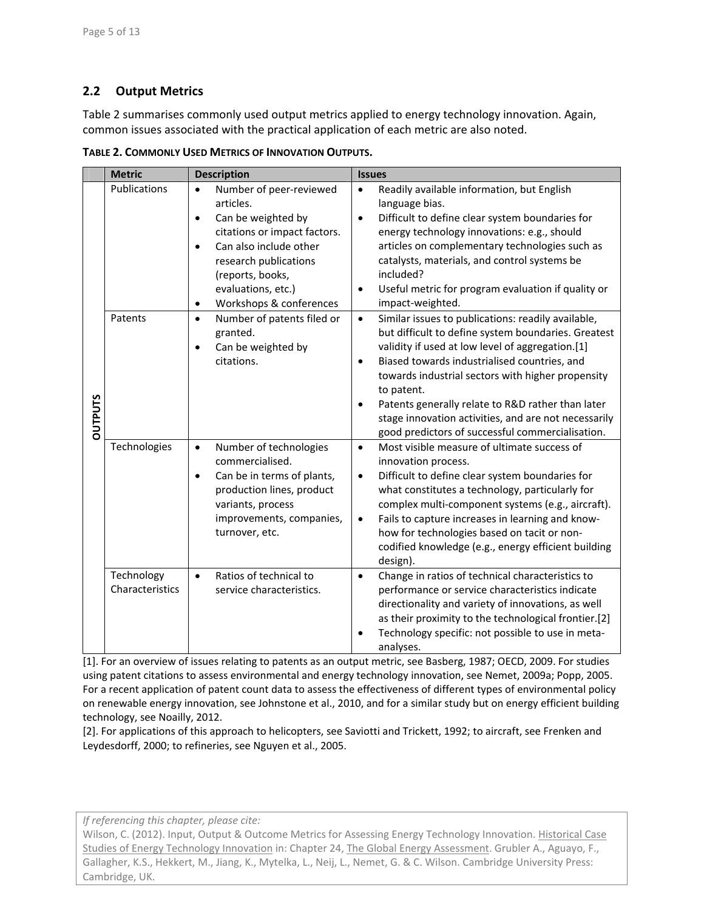## **2.2 Output Metrics**

Table 2 summarises commonly used output metrics applied to energy technology innovation. Again, common issues associated with the practical application of each metric are also noted.

|                | <b>Metric</b>                 | <b>Description</b>                                                                                                                                                                                                                                                     | <b>Issues</b>                                                                                                                                                                                                                                                                                                                                                                                                                                                               |
|----------------|-------------------------------|------------------------------------------------------------------------------------------------------------------------------------------------------------------------------------------------------------------------------------------------------------------------|-----------------------------------------------------------------------------------------------------------------------------------------------------------------------------------------------------------------------------------------------------------------------------------------------------------------------------------------------------------------------------------------------------------------------------------------------------------------------------|
| <b>DUTPUTS</b> | Publications                  | Number of peer-reviewed<br>$\bullet$<br>articles.<br>Can be weighted by<br>$\bullet$<br>citations or impact factors.<br>Can also include other<br>$\bullet$<br>research publications<br>(reports, books,<br>evaluations, etc.)<br>Workshops & conferences<br>$\bullet$ | Readily available information, but English<br>$\bullet$<br>language bias.<br>Difficult to define clear system boundaries for<br>$\bullet$<br>energy technology innovations: e.g., should<br>articles on complementary technologies such as<br>catalysts, materials, and control systems be<br>included?<br>Useful metric for program evaluation if quality or<br>$\bullet$<br>impact-weighted.                                                                              |
|                | Patents                       | Number of patents filed or<br>$\bullet$<br>granted.<br>Can be weighted by<br>$\bullet$<br>citations.                                                                                                                                                                   | Similar issues to publications: readily available,<br>$\bullet$<br>but difficult to define system boundaries. Greatest<br>validity if used at low level of aggregation.[1]<br>Biased towards industrialised countries, and<br>$\bullet$<br>towards industrial sectors with higher propensity<br>to patent.<br>Patents generally relate to R&D rather than later<br>stage innovation activities, and are not necessarily<br>good predictors of successful commercialisation. |
|                | Technologies                  | Number of technologies<br>$\bullet$<br>commercialised.<br>Can be in terms of plants,<br>$\bullet$<br>production lines, product<br>variants, process<br>improvements, companies,<br>turnover, etc.                                                                      | Most visible measure of ultimate success of<br>$\bullet$<br>innovation process.<br>Difficult to define clear system boundaries for<br>$\bullet$<br>what constitutes a technology, particularly for<br>complex multi-component systems (e.g., aircraft).<br>Fails to capture increases in learning and know-<br>$\bullet$<br>how for technologies based on tacit or non-<br>codified knowledge (e.g., energy efficient building<br>design).                                  |
|                | Technology<br>Characteristics | Ratios of technical to<br>$\bullet$<br>service characteristics.                                                                                                                                                                                                        | Change in ratios of technical characteristics to<br>$\bullet$<br>performance or service characteristics indicate<br>directionality and variety of innovations, as well<br>as their proximity to the technological frontier.[2]<br>Technology specific: not possible to use in meta-<br>analyses.                                                                                                                                                                            |

**TABLE 2. COMMONLY USED METRICS OF INNOVATION OUTPUTS.**

[1]. For an overview of issues relating to patents as an output metric, see Basberg, 1987; OECD, 2009. For studies using patent citations to assess environmental and energy technology innovation, see Nemet, 2009a; Popp, 2005. For a recent application of patent count data to assess the effectiveness of different types of environmental policy on renewable energy innovation, see Johnstone et al., 2010, and for a similar study but on energy efficient building technology, see Noailly, 2012.

[2]. For applications of this approach to helicopters, see Saviotti and Trickett, 1992; to aircraft, see Frenken and Leydesdorff, 2000; to refineries, see Nguyen et al., 2005.

*If referencing this chapter, please cite:*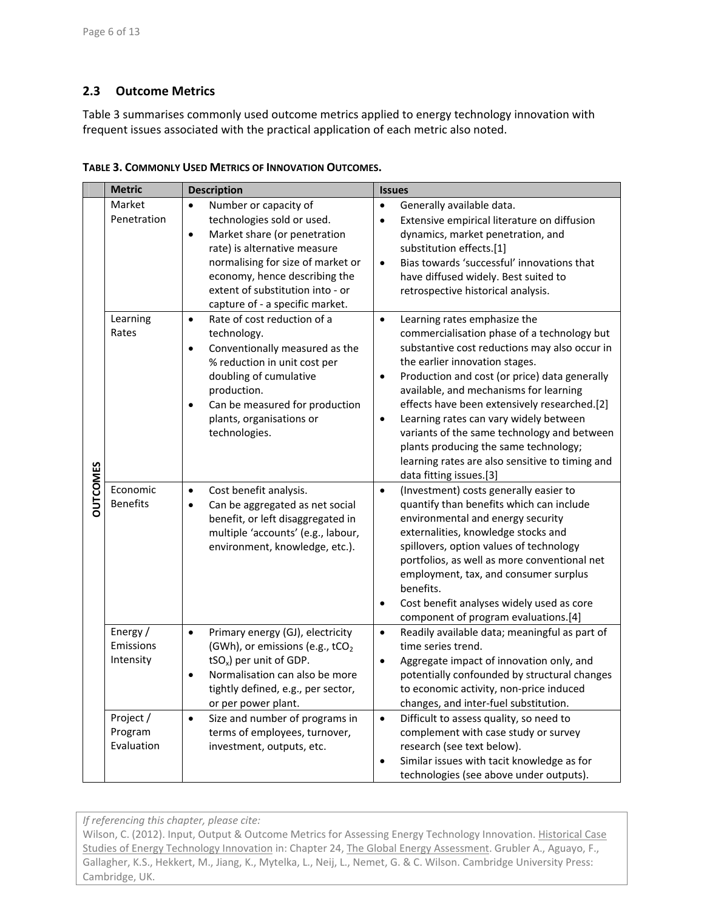## **2.3 Outcome Metrics**

Table 3 summarises commonly used outcome metrics applied to energy technology innovation with frequent issues associated with the practical application of each metric also noted.

|                 | <b>Metric</b>                      | <b>Description</b>                                                                                                                                                                                                                                                                         | <b>Issues</b>                                                                                                                                                                                                                                                                                                                                                                                                                                                                                                                                                    |
|-----------------|------------------------------------|--------------------------------------------------------------------------------------------------------------------------------------------------------------------------------------------------------------------------------------------------------------------------------------------|------------------------------------------------------------------------------------------------------------------------------------------------------------------------------------------------------------------------------------------------------------------------------------------------------------------------------------------------------------------------------------------------------------------------------------------------------------------------------------------------------------------------------------------------------------------|
| <b>OUTCOMES</b> | Market<br>Penetration              | Number or capacity of<br>$\bullet$<br>technologies sold or used.<br>Market share (or penetration<br>$\bullet$<br>rate) is alternative measure<br>normalising for size of market or<br>economy, hence describing the<br>extent of substitution into - or<br>capture of - a specific market. | Generally available data.<br>$\bullet$<br>$\bullet$<br>Extensive empirical literature on diffusion<br>dynamics, market penetration, and<br>substitution effects.[1]<br>Bias towards 'successful' innovations that<br>$\bullet$<br>have diffused widely. Best suited to<br>retrospective historical analysis.                                                                                                                                                                                                                                                     |
|                 | Learning<br>Rates                  | Rate of cost reduction of a<br>$\bullet$<br>technology.<br>Conventionally measured as the<br>$\bullet$<br>% reduction in unit cost per<br>doubling of cumulative<br>production.<br>Can be measured for production<br>$\bullet$<br>plants, organisations or<br>technologies.                | Learning rates emphasize the<br>$\bullet$<br>commercialisation phase of a technology but<br>substantive cost reductions may also occur in<br>the earlier innovation stages.<br>Production and cost (or price) data generally<br>$\bullet$<br>available, and mechanisms for learning<br>effects have been extensively researched.[2]<br>$\bullet$<br>Learning rates can vary widely between<br>variants of the same technology and between<br>plants producing the same technology;<br>learning rates are also sensitive to timing and<br>data fitting issues.[3] |
|                 | Economic<br><b>Benefits</b>        | Cost benefit analysis.<br>$\bullet$<br>Can be aggregated as net social<br>$\bullet$<br>benefit, or left disaggregated in<br>multiple 'accounts' (e.g., labour,<br>environment, knowledge, etc.).                                                                                           | (Investment) costs generally easier to<br>$\bullet$<br>quantify than benefits which can include<br>environmental and energy security<br>externalities, knowledge stocks and<br>spillovers, option values of technology<br>portfolios, as well as more conventional net<br>employment, tax, and consumer surplus<br>benefits.<br>Cost benefit analyses widely used as core<br>$\bullet$<br>component of program evaluations.[4]                                                                                                                                   |
|                 | Energy /<br>Emissions<br>Intensity | Primary energy (GJ), electricity<br>$\bullet$<br>(GWh), or emissions (e.g., tCO <sub>2</sub><br>tSO <sub>x</sub> ) per unit of GDP.<br>Normalisation can also be more<br>$\bullet$<br>tightly defined, e.g., per sector,<br>or per power plant.                                            | Readily available data; meaningful as part of<br>$\bullet$<br>time series trend.<br>Aggregate impact of innovation only, and<br>$\bullet$<br>potentially confounded by structural changes<br>to economic activity, non-price induced<br>changes, and inter-fuel substitution.                                                                                                                                                                                                                                                                                    |
|                 | Project /<br>Program<br>Evaluation | Size and number of programs in<br>$\bullet$<br>terms of employees, turnover,<br>investment, outputs, etc.                                                                                                                                                                                  | Difficult to assess quality, so need to<br>$\bullet$<br>complement with case study or survey<br>research (see text below).<br>Similar issues with tacit knowledge as for<br>$\bullet$<br>technologies (see above under outputs).                                                                                                                                                                                                                                                                                                                                 |

**TABLE 3. COMMONLY USED METRICS OF INNOVATION OUTCOMES.**

*If referencing this chapter, please cite:*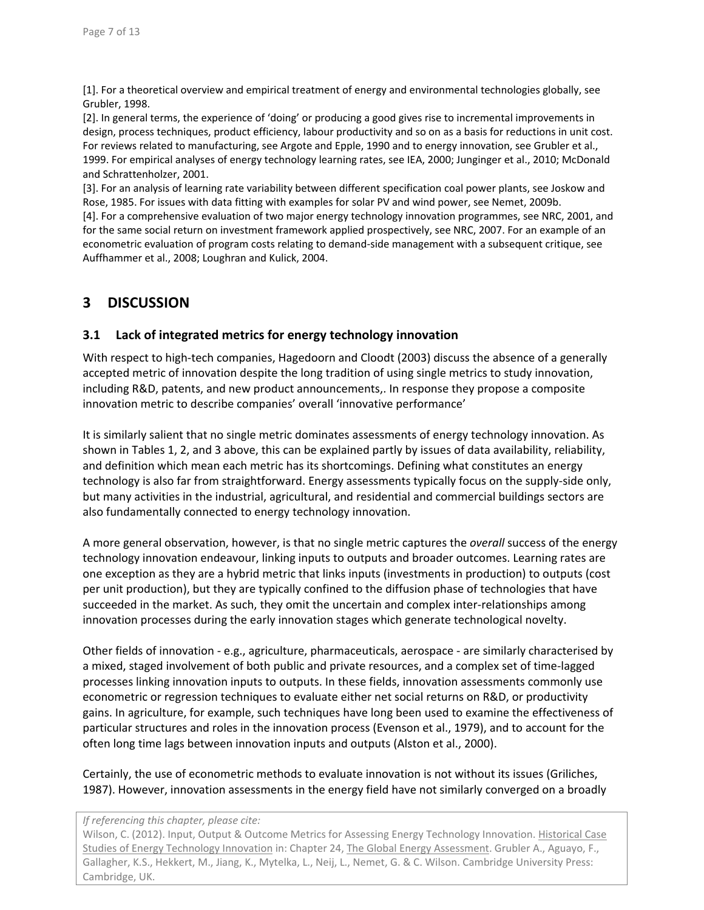[1]. For a theoretical overview and empirical treatment of energy and environmental technologies globally, see Grubler, 1998.

[2]. In general terms, the experience of 'doing' or producing a good gives rise to incremental improvements in design, process techniques, product efficiency, labour productivity and so on as a basis for reductions in unit cost. For reviews related to manufacturing, see Argote and Epple, 1990 and to energy innovation, see Grubler et al., 1999. For empirical analyses of energy technology learning rates, see IEA, 2000; Junginger et al., 2010; McDonald and Schrattenholzer, 2001.

[3]. For an analysis of learning rate variability between different specification coal power plants, see Joskow and Rose, 1985. For issues with data fitting with examples for solar PV and wind power, see Nemet, 2009b. [4]. For a comprehensive evaluation of two major energy technology innovation programmes, see NRC, 2001, and for the same social return on investment framework applied prospectively, see NRC, 2007. For an example of an econometric evaluation of program costs relating to demand‐side management with a subsequent critique, see Auffhammer et al., 2008; Loughran and Kulick, 2004.

# **3 DISCUSSION**

### **3.1 Lack of integrated metrics for energy technology innovation**

With respect to high-tech companies, Hagedoorn and Cloodt (2003) discuss the absence of a generally accepted metric of innovation despite the long tradition of using single metrics to study innovation, including R&D, patents, and new product announcements,. In response they propose a composite innovation metric to describe companies' overall 'innovative performance'

It is similarly salient that no single metric dominates assessments of energy technology innovation. As shown in Tables 1, 2, and 3 above, this can be explained partly by issues of data availability, reliability, and definition which mean each metric has its shortcomings. Defining what constitutes an energy technology is also far from straightforward. Energy assessments typically focus on the supply‐side only, but many activities in the industrial, agricultural, and residential and commercial buildings sectors are also fundamentally connected to energy technology innovation.

A more general observation, however, is that no single metric captures the *overall* success of the energy technology innovation endeavour, linking inputs to outputs and broader outcomes. Learning rates are one exception as they are a hybrid metric that links inputs (investments in production) to outputs (cost per unit production), but they are typically confined to the diffusion phase of technologies that have succeeded in the market. As such, they omit the uncertain and complex inter-relationships among innovation processes during the early innovation stages which generate technological novelty.

Other fields of innovation ‐ e.g., agriculture, pharmaceuticals, aerospace ‐ are similarly characterised by a mixed, staged involvement of both public and private resources, and a complex set of time‐lagged processes linking innovation inputs to outputs. In these fields, innovation assessments commonly use econometric or regression techniques to evaluate either net social returns on R&D, or productivity gains. In agriculture, for example, such techniques have long been used to examine the effectiveness of particular structures and roles in the innovation process (Evenson et al., 1979), and to account for the often long time lags between innovation inputs and outputs (Alston et al., 2000).

Certainly, the use of econometric methods to evaluate innovation is not without its issues (Griliches, 1987). However, innovation assessments in the energy field have not similarly converged on a broadly

#### *If referencing this chapter, please cite:*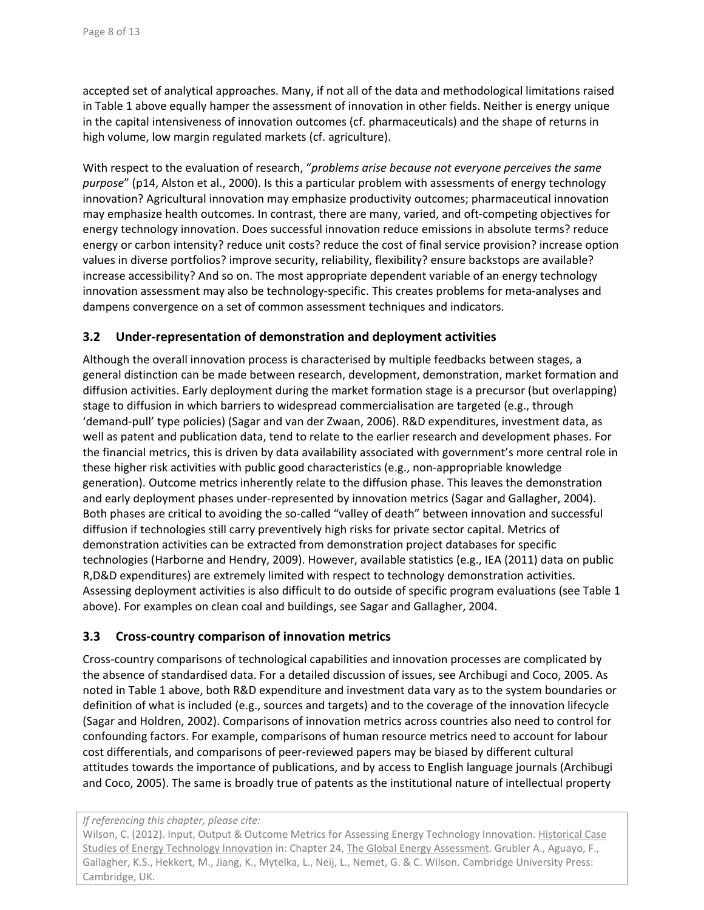accepted set of analytical approaches. Many, if not all of the data and methodological limitations raised in Table 1 above equally hamper the assessment of innovation in other fields. Neither is energy unique in the capital intensiveness of innovation outcomes (cf. pharmaceuticals) and the shape of returns in high volume, low margin regulated markets (cf. agriculture).

With respect to the evaluation of research, "*problems arise because not everyone perceives the same purpose*" (p14, Alston et al., 2000). Is this a particular problem with assessments of energy technology innovation? Agricultural innovation may emphasize productivity outcomes; pharmaceutical innovation may emphasize health outcomes. In contrast, there are many, varied, and oft-competing objectives for energy technology innovation. Does successful innovation reduce emissions in absolute terms? reduce energy or carbon intensity? reduce unit costs? reduce the cost of final service provision? increase option values in diverse portfolios? improve security, reliability, flexibility? ensure backstops are available? increase accessibility? And so on. The most appropriate dependent variable of an energy technology innovation assessment may also be technology-specific. This creates problems for meta-analyses and dampens convergence on a set of common assessment techniques and indicators.

## **3.2 Under‐representation of demonstration and deployment activities**

Although the overall innovation process is characterised by multiple feedbacks between stages, a general distinction can be made between research, development, demonstration, market formation and diffusion activities. Early deployment during the market formation stage is a precursor (but overlapping) stage to diffusion in which barriers to widespread commercialisation are targeted (e.g., through 'demand‐pull' type policies) (Sagar and van der Zwaan, 2006). R&D expenditures, investment data, as well as patent and publication data, tend to relate to the earlier research and development phases. For the financial metrics, this is driven by data availability associated with government's more central role in these higher risk activities with public good characteristics (e.g., non-appropriable knowledge generation). Outcome metrics inherently relate to the diffusion phase. This leaves the demonstration and early deployment phases under-represented by innovation metrics (Sagar and Gallagher, 2004). Both phases are critical to avoiding the so-called "valley of death" between innovation and successful diffusion if technologies still carry preventively high risks for private sector capital. Metrics of demonstration activities can be extracted from demonstration project databases for specific technologies (Harborne and Hendry, 2009). However, available statistics (e.g., IEA (2011) data on public R,D&D expenditures) are extremely limited with respect to technology demonstration activities. Assessing deployment activities is also difficult to do outside of specific program evaluations (see Table 1 above). For examples on clean coal and buildings, see Sagar and Gallagher, 2004.

### **3.3 Cross‐country comparison of innovation metrics**

Cross‐country comparisons of technological capabilities and innovation processes are complicated by the absence of standardised data. For a detailed discussion of issues, see Archibugi and Coco, 2005. As noted in Table 1 above, both R&D expenditure and investment data vary as to the system boundaries or definition of what is included (e.g., sources and targets) and to the coverage of the innovation lifecycle (Sagar and Holdren, 2002). Comparisons of innovation metrics across countries also need to control for confounding factors. For example, comparisons of human resource metrics need to account for labour cost differentials, and comparisons of peer‐reviewed papers may be biased by different cultural attitudes towards the importance of publications, and by access to English language journals (Archibugi and Coco, 2005). The same is broadly true of patents as the institutional nature of intellectual property

#### *If referencing this chapter, please cite:*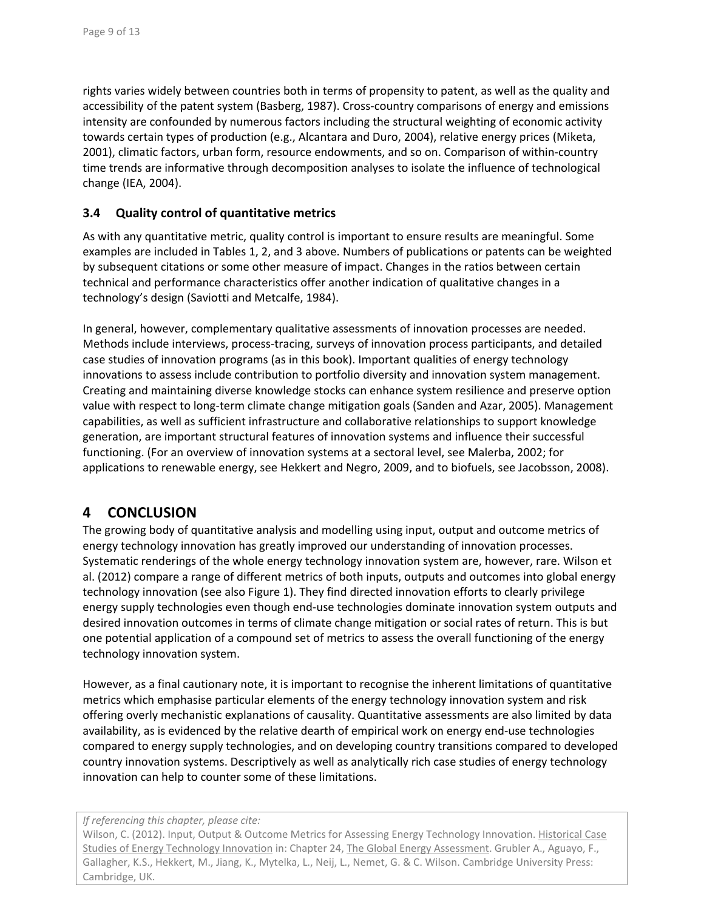rights varies widely between countries both in terms of propensity to patent, as well as the quality and accessibility of the patent system (Basberg, 1987). Cross‐country comparisons of energy and emissions intensity are confounded by numerous factors including the structural weighting of economic activity towards certain types of production (e.g., Alcantara and Duro, 2004), relative energy prices (Miketa, 2001), climatic factors, urban form, resource endowments, and so on. Comparison of within‐country time trends are informative through decomposition analyses to isolate the influence of technological change (IEA, 2004).

### **3.4 Quality control of quantitative metrics**

As with any quantitative metric, quality control is important to ensure results are meaningful. Some examples are included in Tables 1, 2, and 3 above. Numbers of publications or patents can be weighted by subsequent citations or some other measure of impact. Changes in the ratios between certain technical and performance characteristics offer another indication of qualitative changes in a technology's design (Saviotti and Metcalfe, 1984).

In general, however, complementary qualitative assessments of innovation processes are needed. Methods include interviews, process‐tracing, surveys of innovation process participants, and detailed case studies of innovation programs (as in this book). Important qualities of energy technology innovations to assess include contribution to portfolio diversity and innovation system management. Creating and maintaining diverse knowledge stocks can enhance system resilience and preserve option value with respect to long‐term climate change mitigation goals (Sanden and Azar, 2005). Management capabilities, as well as sufficient infrastructure and collaborative relationships to support knowledge generation, are important structural features of innovation systems and influence their successful functioning. (For an overview of innovation systems at a sectoral level, see Malerba, 2002; for applications to renewable energy, see Hekkert and Negro, 2009, and to biofuels, see Jacobsson, 2008).

## **4 CONCLUSION**

The growing body of quantitative analysis and modelling using input, output and outcome metrics of energy technology innovation has greatly improved our understanding of innovation processes. Systematic renderings of the whole energy technology innovation system are, however, rare. Wilson et al. (2012) compare a range of different metrics of both inputs, outputs and outcomes into global energy technology innovation (see also Figure 1). They find directed innovation efforts to clearly privilege energy supply technologies even though end-use technologies dominate innovation system outputs and desired innovation outcomes in terms of climate change mitigation or social rates of return. This is but one potential application of a compound set of metrics to assess the overall functioning of the energy technology innovation system.

However, as a final cautionary note, it is important to recognise the inherent limitations of quantitative metrics which emphasise particular elements of the energy technology innovation system and risk offering overly mechanistic explanations of causality. Quantitative assessments are also limited by data availability, as is evidenced by the relative dearth of empirical work on energy end‐use technologies compared to energy supply technologies, and on developing country transitions compared to developed country innovation systems. Descriptively as well as analytically rich case studies of energy technology innovation can help to counter some of these limitations.

#### *If referencing this chapter, please cite:*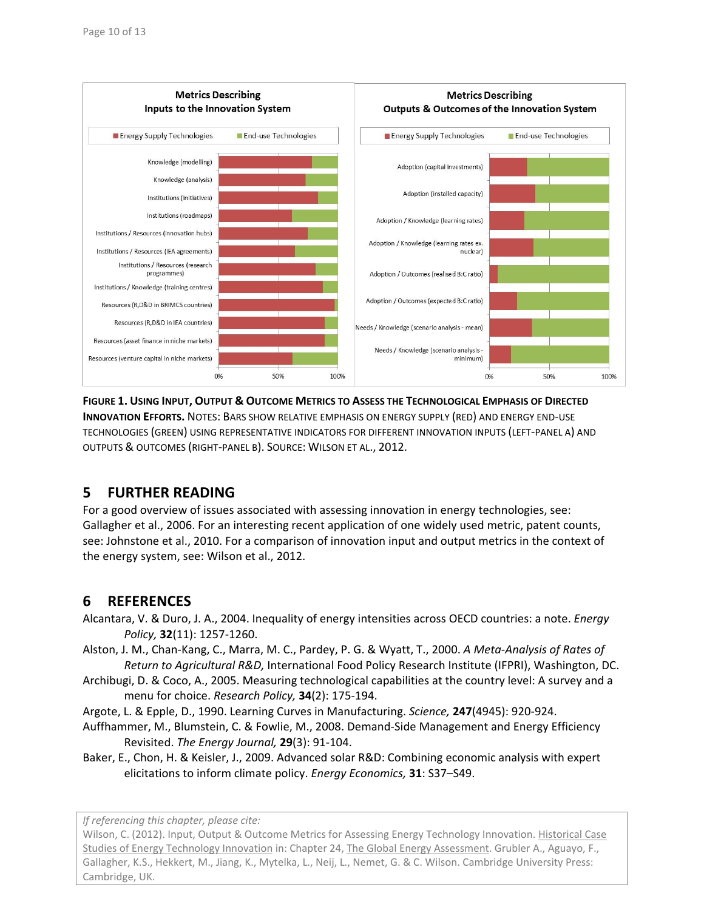

**FIGURE 1. USING INPUT, OUTPUT & OUTCOME METRICS TO ASSESS THE TECHNOLOGICAL EMPHASIS OF DIRECTED INNOVATION EFFORTS.** NOTES: BARS SHOW RELATIVE EMPHASIS ON ENERGY SUPPLY (RED) AND ENERGY END‐USE TECHNOLOGIES (GREEN) USING REPRESENTATIVE INDICATORS FOR DIFFERENT INNOVATION INPUTS (LEFT‐PANEL A) AND OUTPUTS & OUTCOMES (RIGHT‐PANEL B). SOURCE: WILSON ET AL., 2012.

# **5 FURTHER READING**

For a good overview of issues associated with assessing innovation in energy technologies, see: Gallagher et al., 2006. For an interesting recent application of one widely used metric, patent counts, see: Johnstone et al., 2010. For a comparison of innovation input and output metrics in the context of the energy system, see: Wilson et al., 2012.

# **6 REFERENCES**

- Alcantara, V. & Duro, J. A., 2004. Inequality of energy intensities across OECD countries: a note. *Energy Policy,* **32**(11): 1257‐1260.
- Alston, J. M., Chan‐Kang, C., Marra, M. C., Pardey, P. G. & Wyatt, T., 2000. *A Meta‐Analysis of Rates of Return to Agricultural R&D,* International Food Policy Research Institute (IFPRI), Washington, DC.
- Archibugi, D. & Coco, A., 2005. Measuring technological capabilities at the country level: A survey and a menu for choice. *Research Policy,* **34**(2): 175‐194.
- Argote, L. & Epple, D., 1990. Learning Curves in Manufacturing. *Science,* **247**(4945): 920‐924.
- Auffhammer, M., Blumstein, C. & Fowlie, M., 2008. Demand‐Side Management and Energy Efficiency Revisited. *The Energy Journal,* **29**(3): 91‐104.
- Baker, E., Chon, H. & Keisler, J., 2009. Advanced solar R&D: Combining economic analysis with expert elicitations to inform climate policy. *Energy Economics,* **31**: S37–S49.

*If referencing this chapter, please cite:*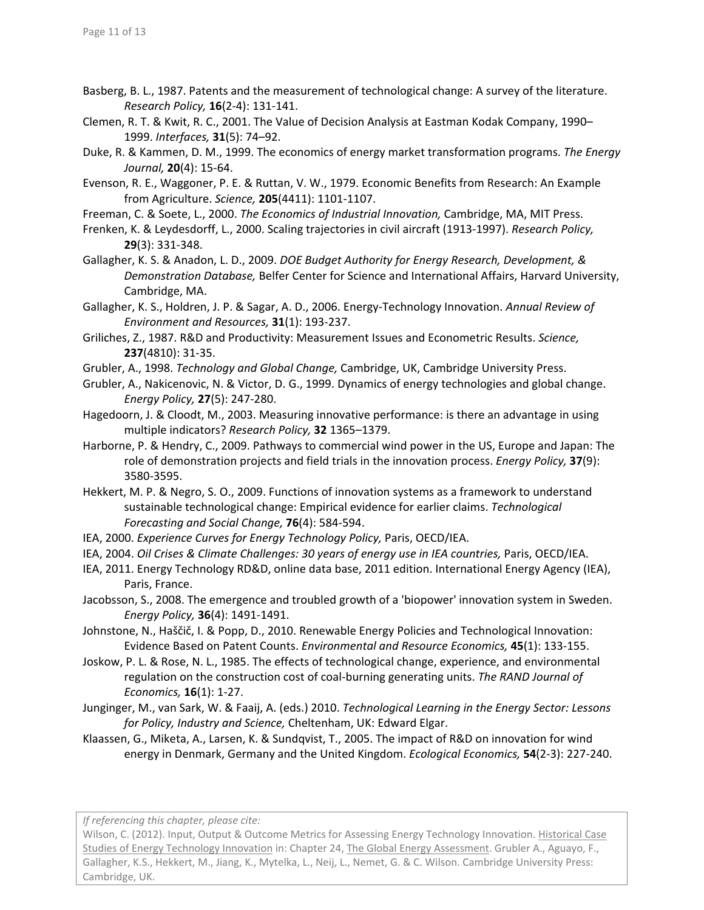- Basberg, B. L., 1987. Patents and the measurement of technological change: A survey of the literature. *Research Policy,* **16**(2‐4): 131‐141.
- Clemen, R. T. & Kwit, R. C., 2001. The Value of Decision Analysis at Eastman Kodak Company, 1990– 1999. *Interfaces,* **31**(5): 74–92.
- Duke, R. & Kammen, D. M., 1999. The economics of energy market transformation programs. *The Energy Journal,* **20**(4): 15‐64.
- Evenson, R. E., Waggoner, P. E. & Ruttan, V. W., 1979. Economic Benefits from Research: An Example from Agriculture. *Science,* **205**(4411): 1101‐1107.
- Freeman, C. & Soete, L., 2000. *The Economics of Industrial Innovation,* Cambridge, MA, MIT Press.
- Frenken, K. & Leydesdorff, L., 2000. Scaling trajectories in civil aircraft (1913‐1997). *Research Policy,* **29**(3): 331‐348.
- Gallagher, K. S. & Anadon, L. D., 2009. *DOE Budget Authority for Energy Research, Development, & Demonstration Database,* Belfer Center for Science and International Affairs, Harvard University, Cambridge, MA.
- Gallagher, K. S., Holdren, J. P. & Sagar, A. D., 2006. Energy‐Technology Innovation. *Annual Review of Environment and Resources,* **31**(1): 193‐237.
- Griliches, Z., 1987. R&D and Productivity: Measurement Issues and Econometric Results. *Science,* **237**(4810): 31‐35.
- Grubler, A., 1998. *Technology and Global Change,* Cambridge, UK, Cambridge University Press.
- Grubler, A., Nakicenovic, N. & Victor, D. G., 1999. Dynamics of energy technologies and global change. *Energy Policy,* **27**(5): 247‐280.
- Hagedoorn, J. & Cloodt, M., 2003. Measuring innovative performance: is there an advantage in using multiple indicators? *Research Policy,* **32** 1365–1379.
- Harborne, P. & Hendry, C., 2009. Pathways to commercial wind power in the US, Europe and Japan: The role of demonstration projects and field trials in the innovation process. *Energy Policy,* **37**(9): 3580‐3595.
- Hekkert, M. P. & Negro, S. O., 2009. Functions of innovation systems as a framework to understand sustainable technological change: Empirical evidence for earlier claims. *Technological Forecasting and Social Change,* **76**(4): 584‐594.
- IEA, 2000. *Experience Curves for Energy Technology Policy,* Paris, OECD/IEA.
- IEA, 2004. *Oil Crises & Climate Challenges: 30 years of energy use in IEA countries,* Paris, OECD/IEA.
- IEA, 2011. Energy Technology RD&D, online data base, 2011 edition. International Energy Agency (IEA), Paris, France.
- Jacobsson, S., 2008. The emergence and troubled growth of a 'biopower' innovation system in Sweden. *Energy Policy,* **36**(4): 1491‐1491.
- Johnstone, N., Haščič, I. & Popp, D., 2010. Renewable Energy Policies and Technological Innovation: Evidence Based on Patent Counts. *Environmental and Resource Economics,* **45**(1): 133‐155.
- Joskow, P. L. & Rose, N. L., 1985. The effects of technological change, experience, and environmental regulation on the construction cost of coal‐burning generating units. *The RAND Journal of Economics,* **16**(1): 1‐27.
- Junginger, M., van Sark, W. & Faaij, A. (eds.) 2010. *Technological Learning in the Energy Sector: Lessons for Policy, Industry and Science,* Cheltenham, UK: Edward Elgar.
- Klaassen, G., Miketa, A., Larsen, K. & Sundqvist, T., 2005. The impact of R&D on innovation for wind energy in Denmark, Germany and the United Kingdom. *Ecological Economics,* **54**(2‐3): 227‐240.

*If referencing this chapter, please cite:*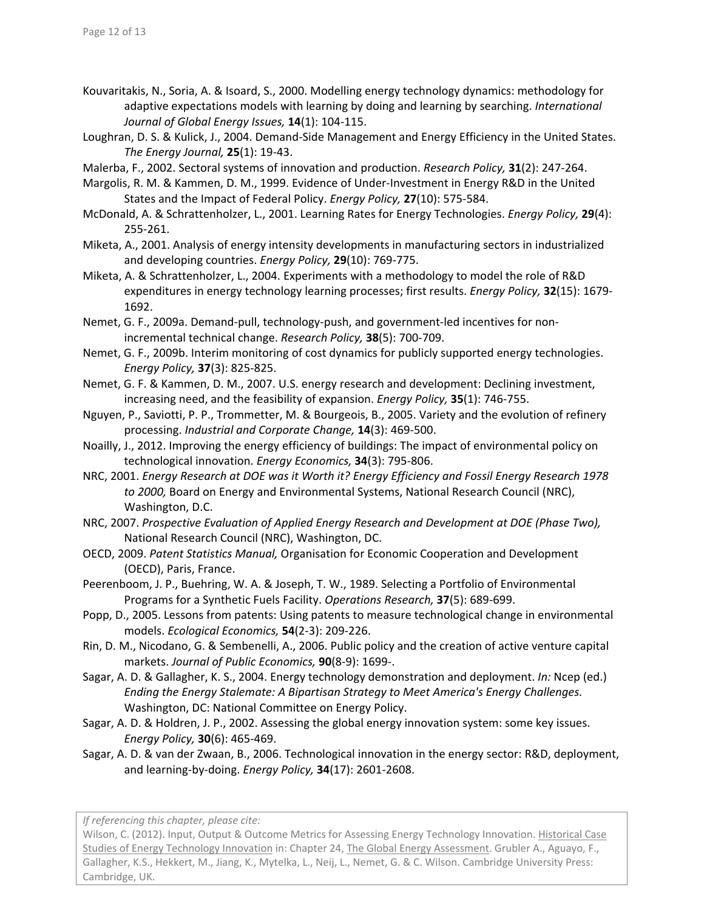- Kouvaritakis, N., Soria, A. & Isoard, S., 2000. Modelling energy technology dynamics: methodology for adaptive expectations models with learning by doing and learning by searching. *International Journal of Global Energy Issues,* **14**(1): 104‐115.
- Loughran, D. S. & Kulick, J., 2004. Demand‐Side Management and Energy Efficiency in the United States. *The Energy Journal,* **25**(1): 19‐43.
- Malerba, F., 2002. Sectoral systems of innovation and production. *Research Policy,* **31**(2): 247‐264.
- Margolis, R. M. & Kammen, D. M., 1999. Evidence of Under‐Investment in Energy R&D in the United States and the Impact of Federal Policy. *Energy Policy,* **27**(10): 575‐584.
- McDonald, A. & Schrattenholzer, L., 2001. Learning Rates for Energy Technologies. *Energy Policy,* **29**(4): 255‐261.
- Miketa, A., 2001. Analysis of energy intensity developments in manufacturing sectors in industrialized and developing countries. *Energy Policy,* **29**(10): 769‐775.
- Miketa, A. & Schrattenholzer, L., 2004. Experiments with a methodology to model the role of R&D expenditures in energy technology learning processes; first results. *Energy Policy,* **32**(15): 1679‐ 1692.
- Nemet, G. F., 2009a. Demand‐pull, technology‐push, and government‐led incentives for non‐ incremental technical change. *Research Policy,* **38**(5): 700‐709.
- Nemet, G. F., 2009b. Interim monitoring of cost dynamics for publicly supported energy technologies. *Energy Policy,* **37**(3): 825‐825.
- Nemet, G. F. & Kammen, D. M., 2007. U.S. energy research and development: Declining investment, increasing need, and the feasibility of expansion. *Energy Policy,* **35**(1): 746‐755.
- Nguyen, P., Saviotti, P. P., Trommetter, M. & Bourgeois, B., 2005. Variety and the evolution of refinery processing. *Industrial and Corporate Change,* **14**(3): 469‐500.
- Noailly, J., 2012. Improving the energy efficiency of buildings: The impact of environmental policy on technological innovation. *Energy Economics,* **34**(3): 795‐806.
- NRC, 2001. *Energy Research at DOE was it Worth it? Energy Efficiency and Fossil Energy Research 1978 to 2000,* Board on Energy and Environmental Systems, National Research Council (NRC), Washington, D.C.
- NRC, 2007. *Prospective Evaluation of Applied Energy Research and Development at DOE (Phase Two),* National Research Council (NRC), Washington, DC.
- OECD, 2009. *Patent Statistics Manual,* Organisation for Economic Cooperation and Development (OECD), Paris, France.
- Peerenboom, J. P., Buehring, W. A. & Joseph, T. W., 1989. Selecting a Portfolio of Environmental Programs for a Synthetic Fuels Facility. *Operations Research,* **37**(5): 689‐699.
- Popp, D., 2005. Lessons from patents: Using patents to measure technological change in environmental models. *Ecological Economics,* **54**(2‐3): 209‐226.
- Rin, D. M., Nicodano, G. & Sembenelli, A., 2006. Public policy and the creation of active venture capital markets. *Journal of Public Economics,* **90**(8‐9): 1699‐.
- Sagar, A. D. & Gallagher, K. S., 2004. Energy technology demonstration and deployment. *In:* Ncep (ed.) *Ending the Energy Stalemate: A Bipartisan Strategy to Meet America's Energy Challenges.* Washington, DC: National Committee on Energy Policy.
- Sagar, A. D. & Holdren, J. P., 2002. Assessing the global energy innovation system: some key issues. *Energy Policy,* **30**(6): 465‐469.
- Sagar, A. D. & van der Zwaan, B., 2006. Technological innovation in the energy sector: R&D, deployment, and learning‐by‐doing. *Energy Policy,* **34**(17): 2601‐2608.

*If referencing this chapter, please cite:*